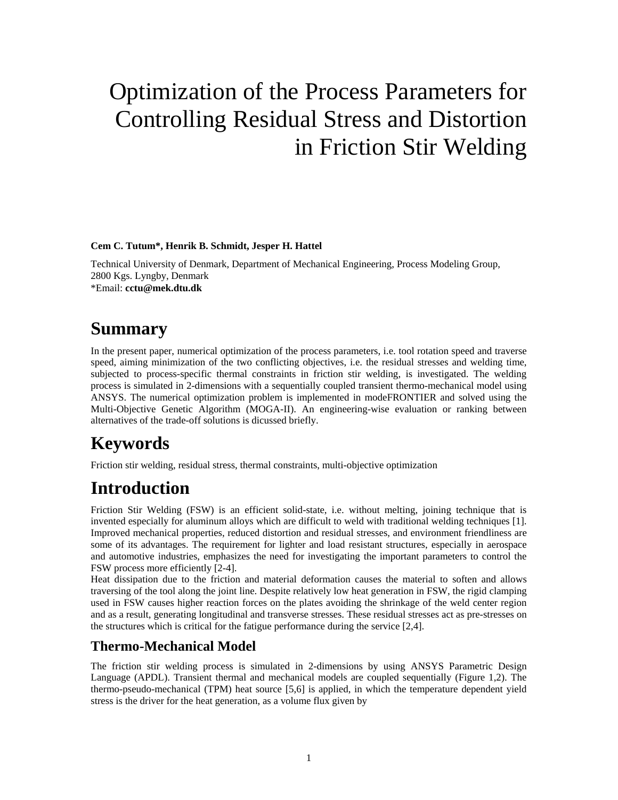# Optimization of the Process Parameters for Controlling Residual Stress and Distortion in Friction Stir Welding

#### **Cem C. Tutum\*, Henrik B. Schmidt, Jesper H. Hattel**

Technical University of Denmark, Department of Mechanical Engineering, Process Modeling Group, 2800 Kgs. Lyngby, Denmark \*Email: **[cctu@mek.dtu.dk](mailto:cctu@mek.dtu.dk)**

### **Summary**

In the present paper, numerical optimization of the process parameters, i.e. tool rotation speed and traverse speed, aiming minimization of the two conflicting objectives, i.e. the residual stresses and welding time, subjected to process-specific thermal constraints in friction stir welding, is investigated. The welding process is simulated in 2-dimensions with a sequentially coupled transient thermo-mechanical model using ANSYS. The numerical optimization problem is implemented in modeFRONTIER and solved using the Multi-Objective Genetic Algorithm (MOGA-II). An engineering-wise evaluation or ranking between alternatives of the trade-off solutions is dicussed briefly.

### **Keywords**

Friction stir welding, residual stress, thermal constraints, multi-objective optimization

## **Introduction**

Friction Stir Welding (FSW) is an efficient solid-state, i.e. without melting, joining technique that is invented especially for aluminum alloys which are difficult to weld with traditional welding techniques [1]. Improved mechanical properties, reduced distortion and residual stresses, and environment friendliness are some of its advantages. The requirement for lighter and load resistant structures, especially in aerospace and automotive industries, emphasizes the need for investigating the important parameters to control the FSW process more efficiently [2-4].

Heat dissipation due to the friction and material deformation causes the material to soften and allows traversing of the tool along the joint line. Despite relatively low heat generation in FSW, the rigid clamping used in FSW causes higher reaction forces on the plates avoiding the shrinkage of the weld center region and as a result, generating longitudinal and transverse stresses. These residual stresses act as pre-stresses on the structures which is critical for the fatigue performance during the service [2,4].

### **Thermo-Mechanical Model**

The friction stir welding process is simulated in 2-dimensions by using ANSYS Parametric Design Language (APDL). Transient thermal and mechanical models are coupled sequentially (Figure 1,2). The thermo-pseudo-mechanical (TPM) heat source [5,6] is applied, in which the temperature dependent yield stress is the driver for the heat generation, as a volume flux given by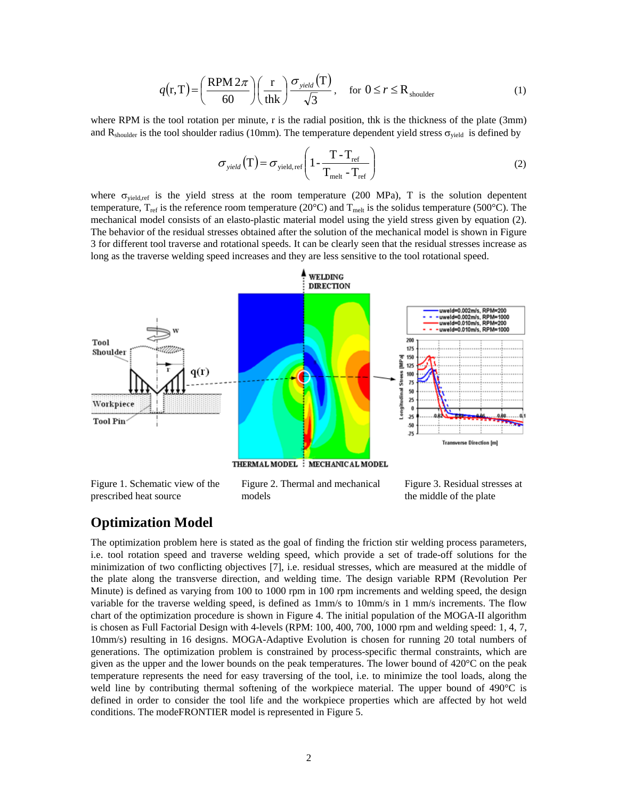$$
q(r,T) = \left(\frac{RPM 2\pi}{60}\right) \left(\frac{r}{thk}\right) \frac{\sigma_{yield}(T)}{\sqrt{3}}, \quad \text{for } 0 \le r \le R_{shoulder} \tag{1}
$$

where RPM is the tool rotation per minute, r is the radial position, thk is the thickness of the plate (3mm) and  $R_{shoulder}$  is the tool shoulder radius (10mm). The temperature dependent yield stress  $\sigma_{yield}$  is defined by

$$
\sigma_{\text{yield}}(T) = \sigma_{\text{yield, ref}} \left( 1 - \frac{T - T_{\text{ref}}}{T_{\text{melt}} - T_{\text{ref}}} \right)
$$
 (2)

where  $\sigma_{yield, ref}$  is the yield stress at the room temperature (200 MPa), T is the solution depentent temperature,  $T_{ref}$  is the reference room temperature (20 $^{\circ}$ C) and  $T_{melt}$  is the solidus temperature (500 $^{\circ}$ C). The mechanical model consists of an elasto-plastic material model using the yield stress given by equation (2). The behavior of the residual stresses obtained after the solution of the mechanical model is shown in Figure 3 for different tool traverse and rotational speeds. It can be clearly seen that the residual stresses increase as long as the traverse welding speed increases and they are less sensitive to the tool rotational speed.



Figure 1. Schematic view of the prescribed heat source

Figure 2. Thermal and mechanical models

Figure 3. Residual stresses at the middle of the plate

#### **Optimization Model**

The optimization problem here is stated as the goal of finding the friction stir welding process parameters, i.e. tool rotation speed and traverse welding speed, which provide a set of trade-off solutions for the minimization of two conflicting objectives [7], i.e. residual stresses, which are measured at the middle of the plate along the transverse direction, and welding time. The design variable RPM (Revolution Per Minute) is defined as varying from 100 to 1000 rpm in 100 rpm increments and welding speed, the design variable for the traverse welding speed, is defined as 1mm/s to 10mm/s in 1 mm/s increments. The flow chart of the optimization procedure is shown in Figure 4. The initial population of the MOGA-II algorithm is chosen as Full Factorial Design with 4-levels (RPM: 100, 400, 700, 1000 rpm and welding speed: 1, 4, 7, 10mm/s) resulting in 16 designs. MOGA-Adaptive Evolution is chosen for running 20 total numbers of generations. The optimization problem is constrained by process-specific thermal constraints, which are given as the upper and the lower bounds on the peak temperatures. The lower bound of 420°C on the peak temperature represents the need for easy traversing of the tool, i.e. to minimize the tool loads, along the weld line by contributing thermal softening of the workpiece material. The upper bound of 490°C is defined in order to consider the tool life and the workpiece properties which are affected by hot weld conditions. The modeFRONTIER model is represented in Figure 5.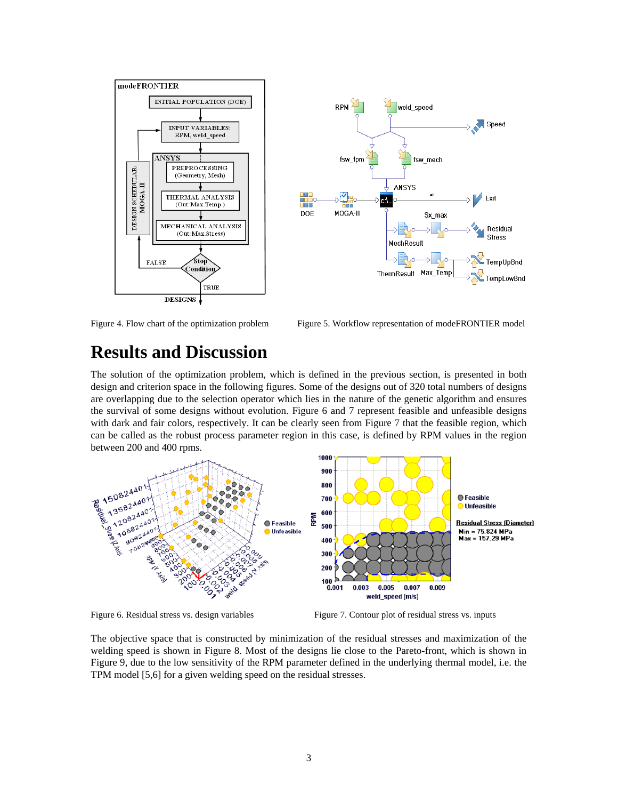

Figure 4. Flow chart of the optimization problem Figure 5. Workflow representation of modeFRONTIER model

### **Results and Discussion**

The solution of the optimization problem, which is defined in the previous section, is presented in both design and criterion space in the following figures. Some of the designs out of 320 total numbers of designs are overlapping due to the selection operator which lies in the nature of the genetic algorithm and ensures the survival of some designs without evolution. Figure 6 and 7 represent feasible and unfeasible designs with dark and fair colors, respectively. It can be clearly seen from Figure 7 that the feasible region, which can be called as the robust process parameter region in this case, is defined by RPM values in the region between 200 and 400 rpms.



Figure 6. Residual stress vs. design variables Figure 7. Contour plot of residual stress vs. inputs

The objective space that is constructed by minimization of the residual stresses and maximization of the welding speed is shown in Figure 8. Most of the designs lie close to the Pareto-front, which is shown in Figure 9, due to the low sensitivity of the RPM parameter defined in the underlying thermal model, i.e. the TPM model [5,6] for a given welding speed on the residual stresses.